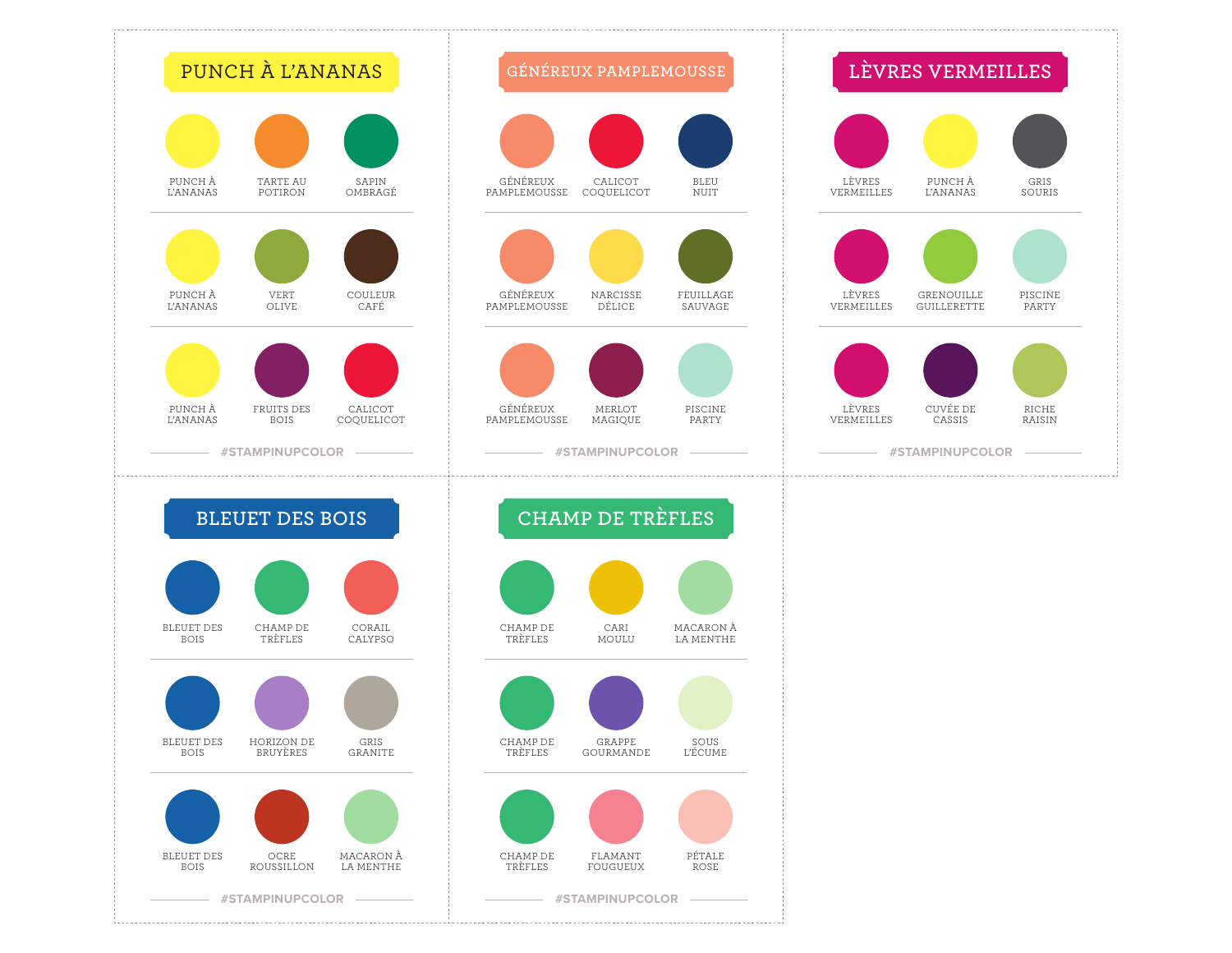